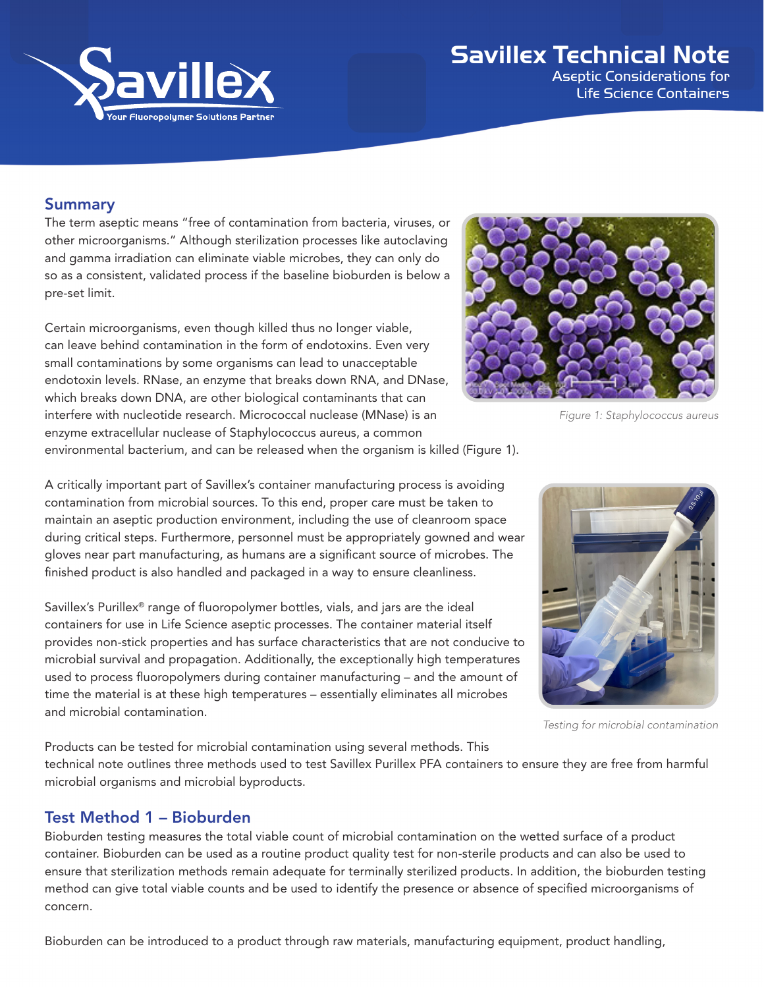

# Savillex Technical Note

Aseptic Considerations for Life Science Containers

# Summary

The term aseptic means "free of contamination from bacteria, viruses, or other microorganisms." Although sterilization processes like autoclaving and gamma irradiation can eliminate viable microbes, they can only do so as a consistent, validated process if the baseline bioburden is below a pre-set limit.

Certain microorganisms, even though killed thus no longer viable, can leave behind contamination in the form of endotoxins. Even very small contaminations by some organisms can lead to unacceptable endotoxin levels. RNase, an enzyme that breaks down RNA, and DNase, which breaks down DNA, are other biological contaminants that can interfere with nucleotide research. Micrococcal nuclease (MNase) is an enzyme extracellular nuclease of Staphylococcus aureus, a common environmental bacterium, and can be released when the organism is killed (Figure 1).



*Figure 1: Staphylococcus aureus*

A critically important part of Savillex's container manufacturing process is avoiding contamination from microbial sources. To this end, proper care must be taken to maintain an aseptic production environment, including the use of cleanroom space during critical steps. Furthermore, personnel must be appropriately gowned and wear gloves near part manufacturing, as humans are a significant source of microbes. The finished product is also handled and packaged in a way to ensure cleanliness.

Savillex's Purillex® range of fluoropolymer bottles, vials, and jars are the ideal containers for use in Life Science aseptic processes. The container material itself provides non-stick properties and has surface characteristics that are not conducive to microbial survival and propagation. Additionally, the exceptionally high temperatures used to process fluoropolymers during container manufacturing – and the amount of time the material is at these high temperatures – essentially eliminates all microbes and microbial contamination.



*Testing for microbial contamination*

Products can be tested for microbial contamination using several methods. This technical note outlines three methods used to test Savillex Purillex PFA containers to ensure they are free from harmful microbial organisms and microbial byproducts.

#### Test Method 1 – Bioburden

Bioburden testing measures the total viable count of microbial contamination on the wetted surface of a product container. Bioburden can be used as a routine product quality test for non-sterile products and can also be used to ensure that sterilization methods remain adequate for terminally sterilized products. In addition, the bioburden testing method can give total viable counts and be used to identify the presence or absence of specified microorganisms of concern.

Bioburden can be introduced to a product through raw materials, manufacturing equipment, product handling,